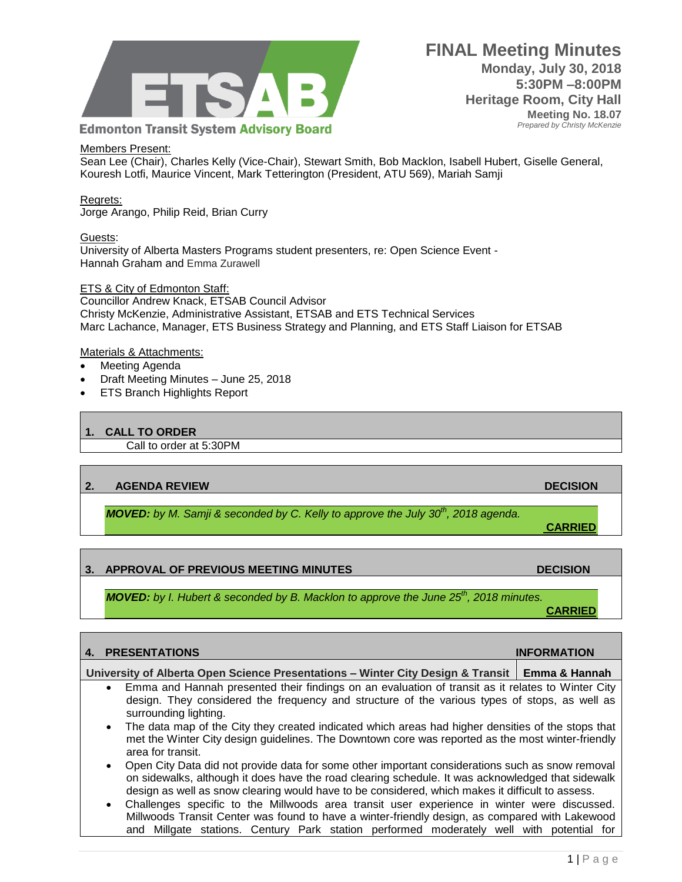

**FINAL Meeting Minutes Monday, July 30, 2018 5:30PM –8:00PM Heritage Room, City Hall Meeting No. 18.07**  *Prepared by Christy McKenzie*

#### Members Present:

Sean Lee (Chair), Charles Kelly (Vice-Chair), Stewart Smith, Bob Macklon, Isabell Hubert, Giselle General, Kouresh Lotfi, Maurice Vincent, Mark Tetterington (President, ATU 569), Mariah Samji

## Regrets:

Jorge Arango, Philip Reid, Brian Curry

#### Guests:

University of Alberta Masters Programs student presenters, re: Open Science Event - Hannah Graham and Emma Zurawell

## ETS & City of Edmonton Staff:

Councillor Andrew Knack, ETSAB Council Advisor Christy McKenzie, Administrative Assistant, ETSAB and ETS Technical Services Marc Lachance, Manager, ETS Business Strategy and Planning, and ETS Staff Liaison for ETSAB

#### Materials & Attachments:

- Meeting Agenda
- Draft Meeting Minutes June 25, 2018
- ETS Branch Highlights Report

## **1. CALL TO ORDER**

Call to order at 5:30PM

#### **2. AGENDA REVIEW DECISION**

*MOVED: by M. Samji & seconded by C. Kelly to approve the July 30th, 2018 agenda.*

# **3. APPROVAL OF PREVIOUS MEETING MINUTES DECISION**

*MOVED: by I. Hubert & seconded by B. Macklon to approve the June 25th, 2018 minutes.*

#### **4. PRESENTATIONS INFORMATION**

# **University of Alberta Open Science Presentations – Winter City Design & Transit Emma & Hannah**

- Emma and Hannah presented their findings on an evaluation of transit as it relates to Winter City design. They considered the frequency and structure of the various types of stops, as well as surrounding lighting.
- The data map of the City they created indicated which areas had higher densities of the stops that met the Winter City design guidelines. The Downtown core was reported as the most winter-friendly area for transit.
- Open City Data did not provide data for some other important considerations such as snow removal on sidewalks, although it does have the road clearing schedule. It was acknowledged that sidewalk design as well as snow clearing would have to be considered, which makes it difficult to assess.
- Challenges specific to the Millwoods area transit user experience in winter were discussed. Millwoods Transit Center was found to have a winter-friendly design, as compared with Lakewood and Millgate stations. Century Park station performed moderately well with potential for

**CARRIED**

**CARRIED**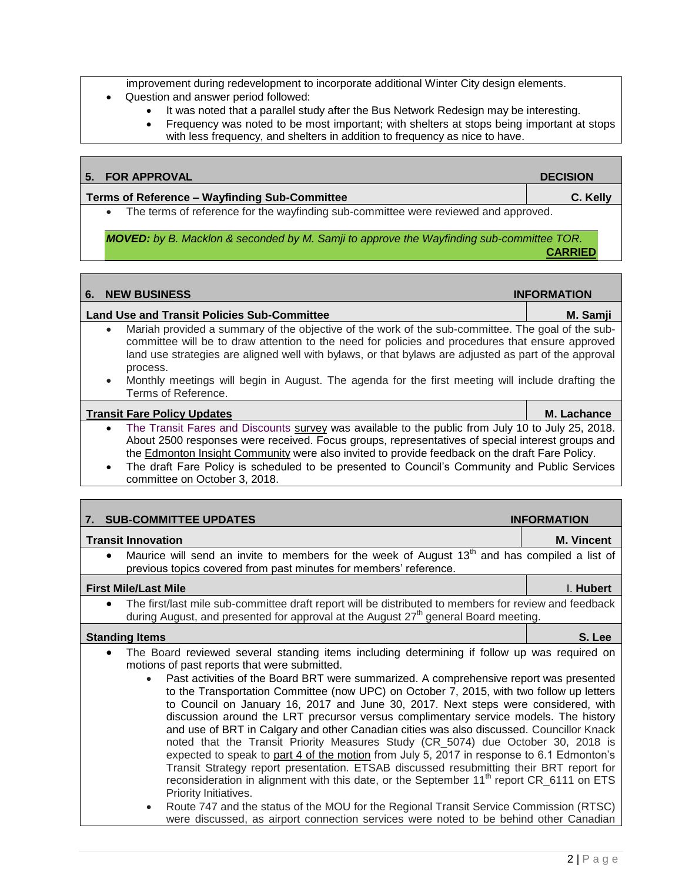improvement during redevelopment to incorporate additional Winter City design elements.

- Question and answer period followed:
	- It was noted that a parallel study after the Bus Network Redesign may be interesting.
	- Frequency was noted to be most important; with shelters at stops being important at stops with less frequency, and shelters in addition to frequency as nice to have.

# **5.** FOR APPROVAL **DECISION**

**Terms of Reference – Wayfinding Sub-Committee C. Kelly** The terms of reference for the wayfinding sub-committee were reviewed and approved.

*MOVED: by B. Macklon & seconded by M. Samji to approve the Wayfinding sub-committee TOR.*

**CARRIED**

# **6.** NEW BUSINESS **INFORMATION Land Use and Transit Policies Sub-Committee M. Samji** Mariah provided a summary of the objective of the work of the sub-committee. The goal of the subcommittee will be to draw attention to the need for policies and procedures that ensure approved land use strategies are aligned well with bylaws, or that bylaws are adjusted as part of the approval process. Monthly meetings will begin in August. The agenda for the first meeting will include drafting the Terms of Reference.

# **[Transit Fare Policy Updates](https://www.edmonton.ca/projects_plans/transit/transit-fare-policy.aspx?utm_source=virtualaddress&utm_campaign=fares) <b>M. Lachance M. Lachance M. Lachance**

- The Transit Fares and Discounts [survey](https://www.edmonton.ca/programs_services/public_engagement/public-engagement-surveys.aspx) was available to the public from July 10 to July 25, 2018. About 2500 responses were received. Focus groups, representatives of special interest groups and the [Edmonton Insight Community](https://www.edmontoninsightcommunity.ca/Portal/default.aspx) were also invited to provide feedback on the draft Fare Policy.
- The draft Fare Policy is scheduled to be presented to Council's Community and Public Services committee on October 3, 2018.

| 7. SUB-COMMITTEE UPDATES                                                                                                                                                                                                                                                                                                                                                                                                                                                                                                                                                                                                                                                                                                                                                                                                                                                                                                                                                                                                                                                                                                         | <b>INFORMATION</b> |
|----------------------------------------------------------------------------------------------------------------------------------------------------------------------------------------------------------------------------------------------------------------------------------------------------------------------------------------------------------------------------------------------------------------------------------------------------------------------------------------------------------------------------------------------------------------------------------------------------------------------------------------------------------------------------------------------------------------------------------------------------------------------------------------------------------------------------------------------------------------------------------------------------------------------------------------------------------------------------------------------------------------------------------------------------------------------------------------------------------------------------------|--------------------|
| <b>Transit Innovation</b>                                                                                                                                                                                                                                                                                                                                                                                                                                                                                                                                                                                                                                                                                                                                                                                                                                                                                                                                                                                                                                                                                                        | <b>M. Vincent</b>  |
| Maurice will send an invite to members for the week of August 13 <sup>th</sup> and has compiled a list of<br>previous topics covered from past minutes for members' reference.                                                                                                                                                                                                                                                                                                                                                                                                                                                                                                                                                                                                                                                                                                                                                                                                                                                                                                                                                   |                    |
| <b>First Mile/Last Mile</b>                                                                                                                                                                                                                                                                                                                                                                                                                                                                                                                                                                                                                                                                                                                                                                                                                                                                                                                                                                                                                                                                                                      | I. Hubert          |
| The first/last mile sub-committee draft report will be distributed to members for review and feedback<br>$\bullet$<br>during August, and presented for approval at the August $27th$ general Board meeting.                                                                                                                                                                                                                                                                                                                                                                                                                                                                                                                                                                                                                                                                                                                                                                                                                                                                                                                      |                    |
| <b>Standing Items</b>                                                                                                                                                                                                                                                                                                                                                                                                                                                                                                                                                                                                                                                                                                                                                                                                                                                                                                                                                                                                                                                                                                            | S. Lee             |
| The Board reviewed several standing items including determining if follow up was required on<br>$\bullet$<br>motions of past reports that were submitted.<br>Past activities of the Board BRT were summarized. A comprehensive report was presented<br>to the Transportation Committee (now UPC) on October 7, 2015, with two follow up letters<br>to Council on January 16, 2017 and June 30, 2017. Next steps were considered, with<br>discussion around the LRT precursor versus complimentary service models. The history<br>and use of BRT in Calgary and other Canadian cities was also discussed. Councillor Knack<br>noted that the Transit Priority Measures Study (CR_5074) due October 30, 2018 is<br>expected to speak to part 4 of the motion from July 5, 2017 in response to 6.1 Edmonton's<br>Transit Strategy report presentation. ETSAB discussed resubmitting their BRT report for<br>reconsideration in alignment with this date, or the September 11 <sup>th</sup> report CR 6111 on ETS<br>Priority Initiatives.<br>Route 747 and the status of the MOU for the Regional Transit Service Commission (RTSC) |                    |

were discussed, as airport connection services were noted to be behind other Canadian